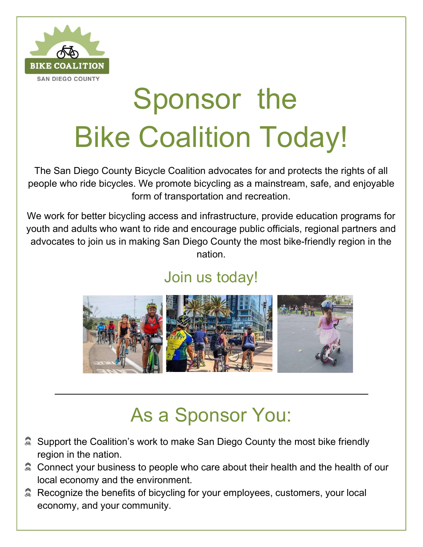

# Sponsor the Bike Coalition Today!

The San Diego County Bicycle Coalition advocates for and protects the rights of all people who ride bicycles. We promote bicycling as a mainstream, safe, and enjoyable form of transportation and recreation.

We work for better bicycling access and infrastructure, provide education programs for youth and adults who want to ride and encourage public officials, regional partners and advocates to join us in making San Diego County the most bike-friendly region in the nation.

## Join us today!



## As a Sponsor You:

- $\hat{\textbf{A}}$  Support the Coalition's work to make San Diego County the most bike friendly region in the nation.
- **& Connect your business to people who care about their health and the health of our** local economy and the environment.
- Recognize the benefits of bicycling for your employees, customers, your local economy, and your community.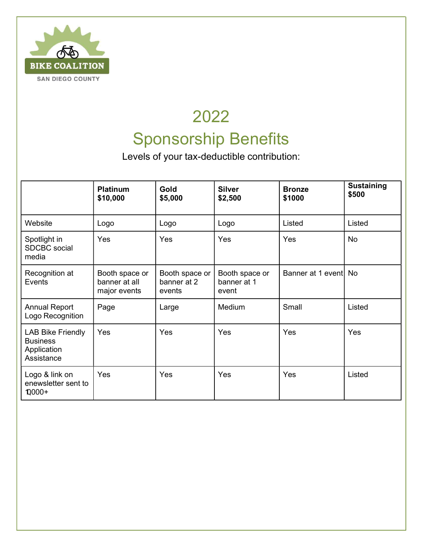

## 2022 Sponsorship Benefits

Levels of your tax-deductible contribution:

|                                                                          | <b>Platinum</b><br>\$10,000                     | <b>Gold</b><br>\$5,000                  | <b>Silver</b><br>\$2,500               | <b>Bronze</b><br>\$1000 | <b>Sustaining</b><br>\$500 |
|--------------------------------------------------------------------------|-------------------------------------------------|-----------------------------------------|----------------------------------------|-------------------------|----------------------------|
| Website                                                                  | Logo                                            | Logo                                    | Logo                                   | Listed                  | Listed                     |
| Spotlight in<br><b>SDCBC</b> social<br>media                             | <b>Yes</b>                                      | Yes                                     | Yes                                    | Yes                     | No                         |
| Recognition at<br>Events                                                 | Booth space or<br>banner at all<br>major events | Booth space or<br>banner at 2<br>events | Booth space or<br>banner at 1<br>event | Banner at 1 event No    |                            |
| <b>Annual Report</b><br>Logo Recognition                                 | Page                                            | Large                                   | Medium                                 | Small                   | Listed                     |
| <b>LAB Bike Friendly</b><br><b>Business</b><br>Application<br>Assistance | Yes                                             | Yes                                     | Yes                                    | Yes                     | Yes                        |
| Logo & link on<br>enewsletter sent to<br>$10000+$                        | Yes                                             | Yes                                     | Yes                                    | Yes                     | Listed                     |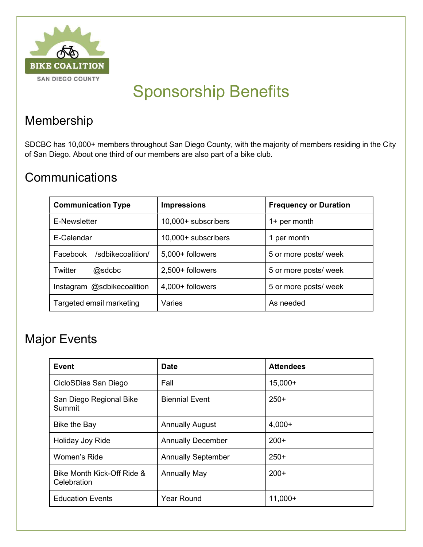

## Sponsorship Benefits

#### Membership

SDCBC has 10,000+ members throughout San Diego County, with the majority of members residing in the City of San Diego. About one third of our members are also part of a bike club.

#### **Communications**

| <b>Communication Type</b>     | <b>Impressions</b>  | <b>Frequency or Duration</b> |  |
|-------------------------------|---------------------|------------------------------|--|
| E-Newsletter                  | 10,000+ subscribers | 1+ per month                 |  |
| E-Calendar                    | 10,000+ subscribers | per month                    |  |
| /sdbikecoalition/<br>Facebook | 5,000+ followers    | 5 or more posts/ week        |  |
| Twitter<br>@sdcbc             | 2,500+ followers    | 5 or more posts/ week        |  |
| Instagram @sdbikecoalition    | 4,000+ followers    | 5 or more posts/ week        |  |
| Targeted email marketing      | Varies              | As needed                    |  |

#### Major Events

| Event                                     | <b>Date</b>               | <b>Attendees</b> |
|-------------------------------------------|---------------------------|------------------|
| CicloSDias San Diego                      | Fall                      | $15,000+$        |
| San Diego Regional Bike<br>Summit         | <b>Biennial Event</b>     | $250+$           |
| Bike the Bay                              | <b>Annually August</b>    | $4,000+$         |
| Holiday Joy Ride                          | <b>Annually December</b>  | $200+$           |
| Women's Ride                              | <b>Annually September</b> | $250+$           |
| Bike Month Kick-Off Ride &<br>Celebration | <b>Annually May</b>       | $200+$           |
| <b>Education Events</b>                   | <b>Year Round</b>         | $11,000+$        |